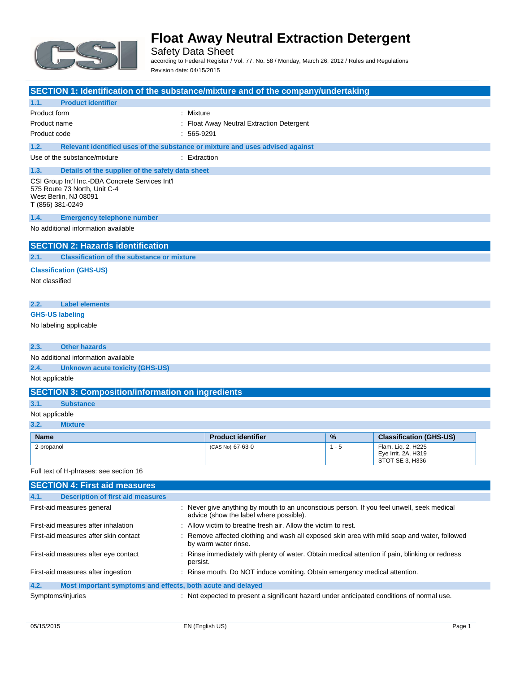

Safety Data Sheet according to Federal Register / Vol. 77, No. 58 / Monday, March 26, 2012 / Rules and Regulations Revision date: 04/15/2015

| SECTION 1: Identification of the substance/mixture and of the company/undertaking                                             |                                                                                                                                      |         |                                                                     |
|-------------------------------------------------------------------------------------------------------------------------------|--------------------------------------------------------------------------------------------------------------------------------------|---------|---------------------------------------------------------------------|
| 1.1.<br><b>Product identifier</b>                                                                                             |                                                                                                                                      |         |                                                                     |
| Product form                                                                                                                  | : Mixture                                                                                                                            |         |                                                                     |
| Product name                                                                                                                  | : Float Away Neutral Extraction Detergent                                                                                            |         |                                                                     |
| Product code                                                                                                                  | $: 565-9291$                                                                                                                         |         |                                                                     |
| 1.2.                                                                                                                          | Relevant identified uses of the substance or mixture and uses advised against                                                        |         |                                                                     |
| Use of the substance/mixture                                                                                                  | : Extraction                                                                                                                         |         |                                                                     |
| 1.3.<br>Details of the supplier of the safety data sheet                                                                      |                                                                                                                                      |         |                                                                     |
| CSI Group Int'l Inc.-DBA Concrete Services Int'l<br>575 Route 73 North, Unit C-4<br>West Berlin, NJ 08091<br>T (856) 381-0249 |                                                                                                                                      |         |                                                                     |
| 1.4.<br><b>Emergency telephone number</b>                                                                                     |                                                                                                                                      |         |                                                                     |
| No additional information available                                                                                           |                                                                                                                                      |         |                                                                     |
| <b>SECTION 2: Hazards identification</b>                                                                                      |                                                                                                                                      |         |                                                                     |
| 2.1.<br><b>Classification of the substance or mixture</b>                                                                     |                                                                                                                                      |         |                                                                     |
| <b>Classification (GHS-US)</b>                                                                                                |                                                                                                                                      |         |                                                                     |
| Not classified                                                                                                                |                                                                                                                                      |         |                                                                     |
| 2.2.<br><b>Label elements</b>                                                                                                 |                                                                                                                                      |         |                                                                     |
| <b>GHS-US labeling</b>                                                                                                        |                                                                                                                                      |         |                                                                     |
| No labeling applicable                                                                                                        |                                                                                                                                      |         |                                                                     |
| <b>Other hazards</b><br>2.3.                                                                                                  |                                                                                                                                      |         |                                                                     |
| No additional information available                                                                                           |                                                                                                                                      |         |                                                                     |
| 2.4.<br><b>Unknown acute toxicity (GHS-US)</b>                                                                                |                                                                                                                                      |         |                                                                     |
| Not applicable                                                                                                                |                                                                                                                                      |         |                                                                     |
| <b>SECTION 3: Composition/information on ingredients</b>                                                                      |                                                                                                                                      |         |                                                                     |
| 3.1.<br><b>Substance</b>                                                                                                      |                                                                                                                                      |         |                                                                     |
| Not applicable                                                                                                                |                                                                                                                                      |         |                                                                     |
| 3.2.<br><b>Mixture</b>                                                                                                        |                                                                                                                                      |         |                                                                     |
| <b>Name</b>                                                                                                                   | <b>Product identifier</b>                                                                                                            | %       | <b>Classification (GHS-US)</b>                                      |
| 2-propanol                                                                                                                    | (CAS No) 67-63-0                                                                                                                     | $1 - 5$ | Flam. Liq. 2, H225<br>Eye Irrit. 2A, H319<br><b>STOT SE 3. H336</b> |
| Full text of H-phrases: see section 16                                                                                        |                                                                                                                                      |         |                                                                     |
| <b>SECTION 4: First aid measures</b>                                                                                          |                                                                                                                                      |         |                                                                     |
| 4.1.<br><b>Description of first aid measures</b>                                                                              |                                                                                                                                      |         |                                                                     |
| First-aid measures general                                                                                                    | : Never give anything by mouth to an unconscious person. If you feel unwell, seek medical<br>advice (show the label where possible). |         |                                                                     |
| First-aid measures after inhalation                                                                                           | : Allow victim to breathe fresh air. Allow the victim to rest.                                                                       |         |                                                                     |
| First-aid measures after skin contact                                                                                         | Remove affected clothing and wash all exposed skin area with mild soap and water, followed<br>by warm water rinse.                   |         |                                                                     |

First-aid measures after eye contact : Rinse immediately with plenty of water. Obtain medical attention if pain, blinking or redness persist.

|                   | First-aid measures after ingestion                          | : Rinse mouth. Do NOT induce vomiting. Obtain emergency medical attention.               |
|-------------------|-------------------------------------------------------------|------------------------------------------------------------------------------------------|
| 4.2.              | Most important symptoms and effects, both acute and delayed |                                                                                          |
| Symptoms/injuries |                                                             | Not expected to present a significant hazard under anticipated conditions of normal use. |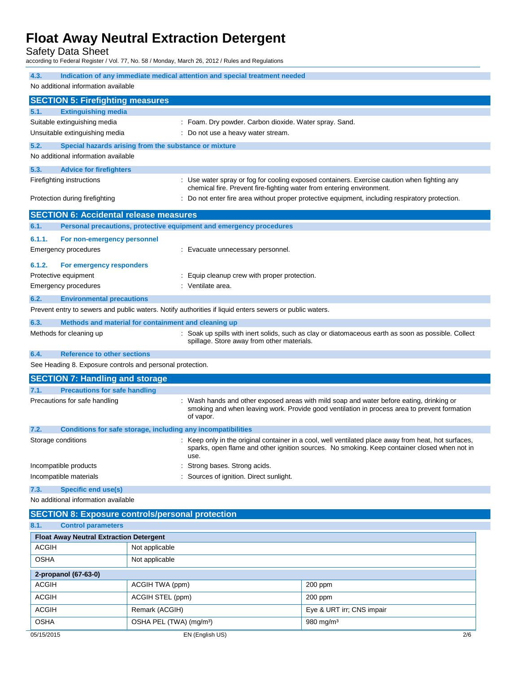Safety Data Sheet

according to Federal Register / Vol. 77, No. 58 / Monday, March 26, 2012 / Rules and Regulations

| 4.3.                                                           |                                                              |                                     | Indication of any immediate medical attention and special treatment needed                              |                                                                                                                                                                                                      |
|----------------------------------------------------------------|--------------------------------------------------------------|-------------------------------------|---------------------------------------------------------------------------------------------------------|------------------------------------------------------------------------------------------------------------------------------------------------------------------------------------------------------|
| No additional information available                            |                                                              |                                     |                                                                                                         |                                                                                                                                                                                                      |
|                                                                | <b>SECTION 5: Firefighting measures</b>                      |                                     |                                                                                                         |                                                                                                                                                                                                      |
| 5.1.                                                           | <b>Extinguishing media</b>                                   |                                     |                                                                                                         |                                                                                                                                                                                                      |
|                                                                | Suitable extinguishing media                                 |                                     | : Foam. Dry powder. Carbon dioxide. Water spray. Sand.                                                  |                                                                                                                                                                                                      |
|                                                                | Unsuitable extinguishing media                               |                                     | Do not use a heavy water stream.                                                                        |                                                                                                                                                                                                      |
| 5.2.                                                           | Special hazards arising from the substance or mixture        |                                     |                                                                                                         |                                                                                                                                                                                                      |
|                                                                | No additional information available                          |                                     |                                                                                                         |                                                                                                                                                                                                      |
| 5.3.                                                           | <b>Advice for firefighters</b>                               |                                     |                                                                                                         |                                                                                                                                                                                                      |
|                                                                | Firefighting instructions                                    |                                     | chemical fire. Prevent fire-fighting water from entering environment.                                   | : Use water spray or fog for cooling exposed containers. Exercise caution when fighting any                                                                                                          |
|                                                                | Protection during firefighting                               |                                     |                                                                                                         | Do not enter fire area without proper protective equipment, including respiratory protection.                                                                                                        |
|                                                                | <b>SECTION 6: Accidental release measures</b>                |                                     |                                                                                                         |                                                                                                                                                                                                      |
| 6.1.                                                           |                                                              |                                     | Personal precautions, protective equipment and emergency procedures                                     |                                                                                                                                                                                                      |
| 6.1.1.                                                         | For non-emergency personnel                                  |                                     |                                                                                                         |                                                                                                                                                                                                      |
|                                                                | <b>Emergency procedures</b>                                  |                                     | : Evacuate unnecessary personnel.                                                                       |                                                                                                                                                                                                      |
| 6.1.2.                                                         | For emergency responders                                     |                                     |                                                                                                         |                                                                                                                                                                                                      |
|                                                                | Protective equipment                                         |                                     | Equip cleanup crew with proper protection.                                                              |                                                                                                                                                                                                      |
|                                                                | <b>Emergency procedures</b>                                  |                                     | : Ventilate area.                                                                                       |                                                                                                                                                                                                      |
| 6.2.                                                           | <b>Environmental precautions</b>                             |                                     |                                                                                                         |                                                                                                                                                                                                      |
|                                                                |                                                              |                                     | Prevent entry to sewers and public waters. Notify authorities if liquid enters sewers or public waters. |                                                                                                                                                                                                      |
| 6.3.                                                           | Methods and material for containment and cleaning up         |                                     |                                                                                                         |                                                                                                                                                                                                      |
|                                                                | Methods for cleaning up                                      |                                     | spillage. Store away from other materials.                                                              | : Soak up spills with inert solids, such as clay or diatomaceous earth as soon as possible. Collect                                                                                                  |
| 6.4.                                                           | <b>Reference to other sections</b>                           |                                     |                                                                                                         |                                                                                                                                                                                                      |
|                                                                | See Heading 8. Exposure controls and personal protection.    |                                     |                                                                                                         |                                                                                                                                                                                                      |
|                                                                | <b>SECTION 7: Handling and storage</b>                       |                                     |                                                                                                         |                                                                                                                                                                                                      |
| 7.1.                                                           | <b>Precautions for safe handling</b>                         |                                     |                                                                                                         |                                                                                                                                                                                                      |
|                                                                | Precautions for safe handling                                |                                     | of vapor.                                                                                               | : Wash hands and other exposed areas with mild soap and water before eating, drinking or<br>smoking and when leaving work. Provide good ventilation in process area to prevent formation             |
| 7.2.                                                           | Conditions for safe storage, including any incompatibilities |                                     |                                                                                                         |                                                                                                                                                                                                      |
| Storage conditions                                             |                                                              |                                     | use.                                                                                                    | : Keep only in the original container in a cool, well ventilated place away from heat, hot surfaces,<br>sparks, open flame and other ignition sources. No smoking. Keep container closed when not in |
|                                                                | Incompatible products                                        |                                     | Strong bases. Strong acids.                                                                             |                                                                                                                                                                                                      |
|                                                                | Incompatible materials                                       |                                     | Sources of ignition. Direct sunlight.                                                                   |                                                                                                                                                                                                      |
| 7.3.                                                           | <b>Specific end use(s)</b>                                   |                                     |                                                                                                         |                                                                                                                                                                                                      |
| No additional information available                            |                                                              |                                     |                                                                                                         |                                                                                                                                                                                                      |
| <b>SECTION 8: Exposure controls/personal protection</b>        |                                                              |                                     |                                                                                                         |                                                                                                                                                                                                      |
| 8.1.<br><b>Control parameters</b>                              |                                                              |                                     |                                                                                                         |                                                                                                                                                                                                      |
| <b>Float Away Neutral Extraction Detergent</b><br><b>ACGIH</b> |                                                              |                                     |                                                                                                         |                                                                                                                                                                                                      |
|                                                                |                                                              | Not applicable                      |                                                                                                         |                                                                                                                                                                                                      |
| <b>OSHA</b><br>Not applicable                                  |                                                              |                                     |                                                                                                         |                                                                                                                                                                                                      |
|                                                                | 2-propanol (67-63-0)                                         |                                     |                                                                                                         |                                                                                                                                                                                                      |
| <b>ACGIH</b>                                                   |                                                              | ACGIH TWA (ppm)                     |                                                                                                         | 200 ppm                                                                                                                                                                                              |
| <b>ACGIH</b>                                                   |                                                              | ACGIH STEL (ppm)                    |                                                                                                         | 200 ppm                                                                                                                                                                                              |
| <b>ACGIH</b>                                                   | Remark (ACGIH)                                               |                                     |                                                                                                         | Eye & URT irr; CNS impair                                                                                                                                                                            |
| <b>OSHA</b>                                                    |                                                              | OSHA PEL (TWA) (mg/m <sup>3</sup> ) |                                                                                                         | 980 mg/m <sup>3</sup>                                                                                                                                                                                |
| 05/15/2015                                                     |                                                              |                                     | EN (English US)                                                                                         | 2/6                                                                                                                                                                                                  |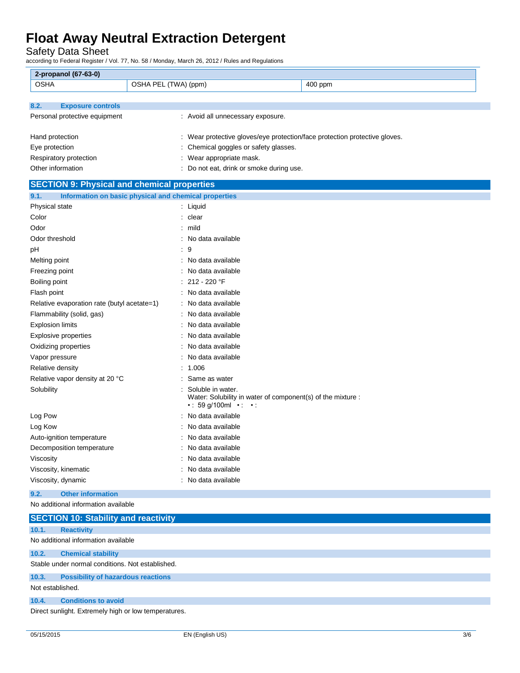Safety Data Sheet

according to Federal Register / Vol. 77, No. 58 / Monday, March 26, 2012 / Rules and Regulations

| 2-propanol (67-63-0)                               |                                                                                                                              |  |
|----------------------------------------------------|------------------------------------------------------------------------------------------------------------------------------|--|
| <b>OSHA</b>                                        | OSHA PEL (TWA) (ppm)<br>400 ppm                                                                                              |  |
|                                                    |                                                                                                                              |  |
| 8.2.<br><b>Exposure controls</b>                   |                                                                                                                              |  |
| Personal protective equipment                      | : Avoid all unnecessary exposure.                                                                                            |  |
|                                                    |                                                                                                                              |  |
| Hand protection                                    | : Wear protective gloves/eye protection/face protection protective gloves.                                                   |  |
| Eye protection                                     | Chemical goggles or safety glasses.                                                                                          |  |
| Respiratory protection                             | : Wear appropriate mask.                                                                                                     |  |
| Other information                                  | : Do not eat, drink or smoke during use.                                                                                     |  |
| <b>SECTION 9: Physical and chemical properties</b> |                                                                                                                              |  |
| 9.1.                                               | Information on basic physical and chemical properties                                                                        |  |
| Physical state                                     | : Liquid                                                                                                                     |  |
| Color                                              | : clear                                                                                                                      |  |
| Odor                                               | : mild                                                                                                                       |  |
| Odor threshold                                     | No data available                                                                                                            |  |
| рH                                                 | $\cdot$ 9                                                                                                                    |  |
| Melting point                                      | No data available                                                                                                            |  |
| Freezing point                                     | No data available                                                                                                            |  |
| Boiling point                                      | $: 212 - 220$ °F                                                                                                             |  |
| Flash point                                        | : No data available                                                                                                          |  |
| Relative evaporation rate (butyl acetate=1)        | No data available                                                                                                            |  |
| Flammability (solid, gas)                          | : No data available                                                                                                          |  |
| <b>Explosion limits</b>                            | No data available                                                                                                            |  |
| Explosive properties                               | No data available                                                                                                            |  |
| Oxidizing properties                               | : No data available                                                                                                          |  |
| Vapor pressure                                     | No data available                                                                                                            |  |
| Relative density                                   | 1.006                                                                                                                        |  |
| Relative vapor density at 20 °C                    | Same as water                                                                                                                |  |
| Solubility                                         | Soluble in water.<br>Water: Solubility in water of component(s) of the mixture :<br>$\cdot$ : 59 g/100ml $\cdot$ : $\cdot$ : |  |
| Log Pow                                            | No data available                                                                                                            |  |
| Log Kow                                            | No data available                                                                                                            |  |
| Auto-ignition temperature                          | No data available                                                                                                            |  |
| Decomposition temperature                          | No data available                                                                                                            |  |
| Viscosity                                          | : No data available                                                                                                          |  |
| Viscosity, kinematic                               | No data available                                                                                                            |  |
| Viscosity, dynamic                                 | No data available                                                                                                            |  |
| <b>Other information</b><br>9.2.                   |                                                                                                                              |  |
| No additional information available                |                                                                                                                              |  |

|                  | <b>SECTION 10: Stability and reactivity</b>          |
|------------------|------------------------------------------------------|
| 10.1.            | <b>Reactivity</b>                                    |
|                  | No additional information available                  |
| 10.2.            | <b>Chemical stability</b>                            |
|                  | Stable under normal conditions. Not established.     |
| 10.3.            | <b>Possibility of hazardous reactions</b>            |
| Not established. |                                                      |
| 10.4.            | <b>Conditions to avoid</b>                           |
|                  | Direct sunlight. Extremely high or low temperatures. |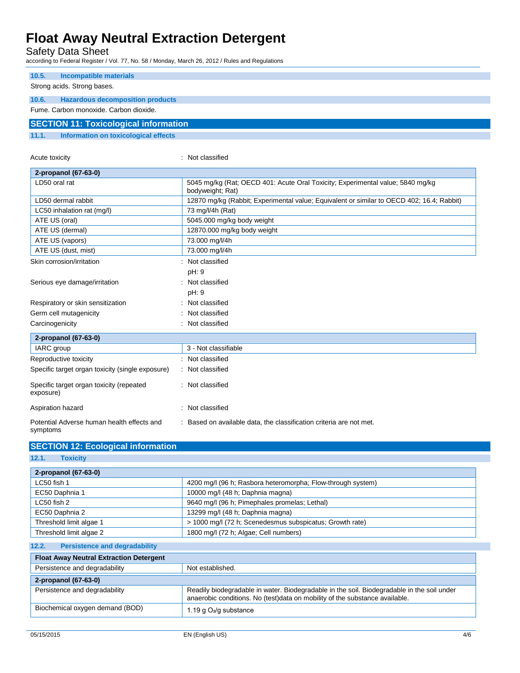Safety Data Sheet

according to Federal Register / Vol. 77, No. 58 / Monday, March 26, 2012 / Rules and Regulations

| 10.5.                                  | Incompatible materials                       |  |  |
|----------------------------------------|----------------------------------------------|--|--|
|                                        | Strong acids. Strong bases.                  |  |  |
|                                        |                                              |  |  |
| 10.6.                                  | <b>Hazardous decomposition products</b>      |  |  |
| Fume, Carbon monoxide, Carbon dioxide. |                                              |  |  |
|                                        | <b>SECTION 11: Toxicological information</b> |  |  |
| 11.1.                                  | Information on toxicological effects         |  |  |

Acute toxicity **in the case of the CALIC CONTEX :** Not classified

| 2-propanol (67-63-0)                                   |                                                                                                    |
|--------------------------------------------------------|----------------------------------------------------------------------------------------------------|
| LD50 oral rat                                          | 5045 mg/kg (Rat; OECD 401: Acute Oral Toxicity; Experimental value; 5840 mg/kg<br>bodyweight; Rat) |
| LD50 dermal rabbit                                     | 12870 mg/kg (Rabbit; Experimental value; Equivalent or similar to OECD 402; 16.4; Rabbit)          |
| LC50 inhalation rat (mg/l)                             | 73 mg/l/4h (Rat)                                                                                   |
| ATE US (oral)                                          | 5045.000 mg/kg body weight                                                                         |
| ATE US (dermal)                                        | 12870.000 mg/kg body weight                                                                        |
| ATE US (vapors)                                        | 73.000 mg/l/4h                                                                                     |
| ATE US (dust, mist)                                    | 73.000 mg/l/4h                                                                                     |
| Skin corrosion/irritation                              | Not classified                                                                                     |
|                                                        | pH: 9                                                                                              |
| Serious eye damage/irritation                          | Not classified                                                                                     |
|                                                        | pH: 9                                                                                              |
| Respiratory or skin sensitization                      | Not classified                                                                                     |
| Germ cell mutagenicity                                 | Not classified                                                                                     |
| Carcinogenicity                                        | Not classified                                                                                     |
| 2-propanol (67-63-0)                                   |                                                                                                    |
| IARC group                                             | 3 - Not classifiable                                                                               |
| Reproductive toxicity                                  | : Not classified                                                                                   |
| Specific target organ toxicity (single exposure)       | : Not classified                                                                                   |
| Specific target organ toxicity (repeated<br>exposure)  | Not classified                                                                                     |
| Aspiration hazard                                      | Not classified                                                                                     |
| Potential Adverse human health effects and<br>symptoms | Based on available data, the classification criteria are not met.<br>÷                             |

| <b>SECTION 12: Ecological information</b> |  |
|-------------------------------------------|--|
|                                           |  |

**12.1. Toxicity**

| 2-propanol (67-63-0)                                         |                                                                                                                                                                           |  |
|--------------------------------------------------------------|---------------------------------------------------------------------------------------------------------------------------------------------------------------------------|--|
| LC50 fish 1                                                  | 4200 mg/l (96 h; Rasbora heteromorpha; Flow-through system)                                                                                                               |  |
| EC50 Daphnia 1                                               | 10000 mg/l (48 h; Daphnia magna)                                                                                                                                          |  |
| $LC50$ fish 2                                                | 9640 mg/l (96 h; Pimephales promelas; Lethal)                                                                                                                             |  |
| EC50 Daphnia 2                                               | 13299 mg/l (48 h; Daphnia magna)                                                                                                                                          |  |
| Threshold limit algae 1                                      | > 1000 mg/l (72 h; Scenedesmus subspicatus; Growth rate)                                                                                                                  |  |
| Threshold limit algae 2                                      | 1800 mg/l (72 h; Algae; Cell numbers)                                                                                                                                     |  |
| 12.2.<br><b>Persistence and degradability</b>                |                                                                                                                                                                           |  |
| <b>Float Away Neutral Extraction Detergent</b>               |                                                                                                                                                                           |  |
| Persistence and degradability                                | Not established.                                                                                                                                                          |  |
| 2-propanol (67-63-0)                                         |                                                                                                                                                                           |  |
| Persistence and degradability                                | Readily biodegradable in water. Biodegradable in the soil. Biodegradable in the soil under<br>anaerobic conditions. No (test)data on mobility of the substance available. |  |
| Biochemical oxygen demand (BOD)<br>1.19 g $O_2$ /g substance |                                                                                                                                                                           |  |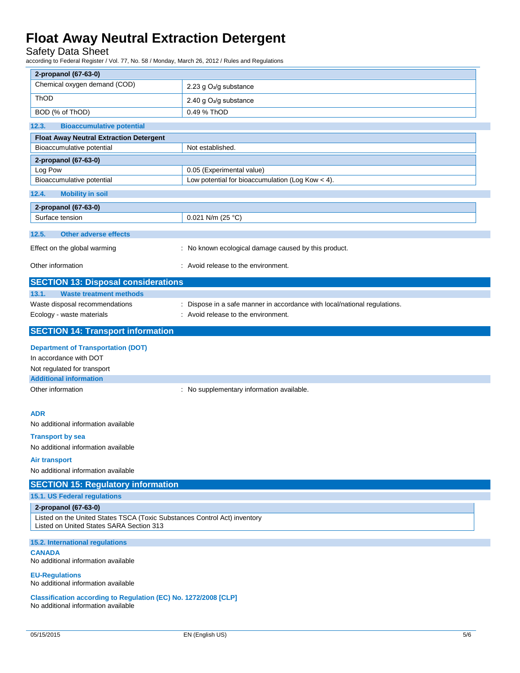### Safety Data Sheet

according to Federal Register / Vol. 77, No. 58 / Monday, March 26, 2012 / Rules and Regulations

| 2-propanol (67-63-0)                                                                                                  |                                                                           |  |
|-----------------------------------------------------------------------------------------------------------------------|---------------------------------------------------------------------------|--|
| Chemical oxygen demand (COD)                                                                                          | 2.23 g O <sub>2</sub> /g substance                                        |  |
| ThOD                                                                                                                  | 2.40 g O <sub>2</sub> /g substance                                        |  |
| BOD (% of ThOD)                                                                                                       | 0.49 % ThOD                                                               |  |
| 12.3.<br><b>Bioaccumulative potential</b>                                                                             |                                                                           |  |
| <b>Float Away Neutral Extraction Detergent</b>                                                                        |                                                                           |  |
| Bioaccumulative potential                                                                                             | Not established.                                                          |  |
| 2-propanol (67-63-0)                                                                                                  |                                                                           |  |
| Log Pow                                                                                                               | 0.05 (Experimental value)                                                 |  |
| Bioaccumulative potential                                                                                             | Low potential for bioaccumulation (Log Kow $<$ 4).                        |  |
| 12.4.<br><b>Mobility in soil</b>                                                                                      |                                                                           |  |
| 2-propanol (67-63-0)                                                                                                  |                                                                           |  |
| Surface tension                                                                                                       | 0.021 N/m (25 °C)                                                         |  |
| 12.5.<br><b>Other adverse effects</b>                                                                                 |                                                                           |  |
| Effect on the global warming                                                                                          | : No known ecological damage caused by this product.                      |  |
|                                                                                                                       |                                                                           |  |
| Other information                                                                                                     | : Avoid release to the environment.                                       |  |
| <b>SECTION 13: Disposal considerations</b>                                                                            |                                                                           |  |
| 13.1.<br><b>Waste treatment methods</b>                                                                               |                                                                           |  |
| Waste disposal recommendations                                                                                        | : Dispose in a safe manner in accordance with local/national regulations. |  |
| Ecology - waste materials                                                                                             | : Avoid release to the environment.                                       |  |
| <b>SECTION 14: Transport information</b>                                                                              |                                                                           |  |
| <b>Department of Transportation (DOT)</b>                                                                             |                                                                           |  |
| In accordance with DOT                                                                                                |                                                                           |  |
| Not regulated for transport                                                                                           |                                                                           |  |
| <b>Additional information</b>                                                                                         |                                                                           |  |
| Other information                                                                                                     | : No supplementary information available.                                 |  |
|                                                                                                                       |                                                                           |  |
| <b>ADR</b>                                                                                                            |                                                                           |  |
| No additional information available                                                                                   |                                                                           |  |
| <b>Transport by sea</b>                                                                                               |                                                                           |  |
| No additional information available                                                                                   |                                                                           |  |
| Air transport                                                                                                         |                                                                           |  |
| No additional information available                                                                                   |                                                                           |  |
| <b>SECTION 15: Regulatory information</b>                                                                             |                                                                           |  |
| 15.1. US Federal regulations                                                                                          |                                                                           |  |
| 2-propanol (67-63-0)                                                                                                  |                                                                           |  |
| Listed on the United States TSCA (Toxic Substances Control Act) inventory<br>Listed on United States SARA Section 313 |                                                                           |  |
|                                                                                                                       |                                                                           |  |
| 15.2. International regulations<br><b>CANADA</b>                                                                      |                                                                           |  |
| No additional information available                                                                                   |                                                                           |  |
| <b>EU-Regulations</b>                                                                                                 |                                                                           |  |
| No additional information available                                                                                   |                                                                           |  |
| Classification according to Regulation (EC) No. 1272/2008 [CLP]<br>No additional information available                |                                                                           |  |